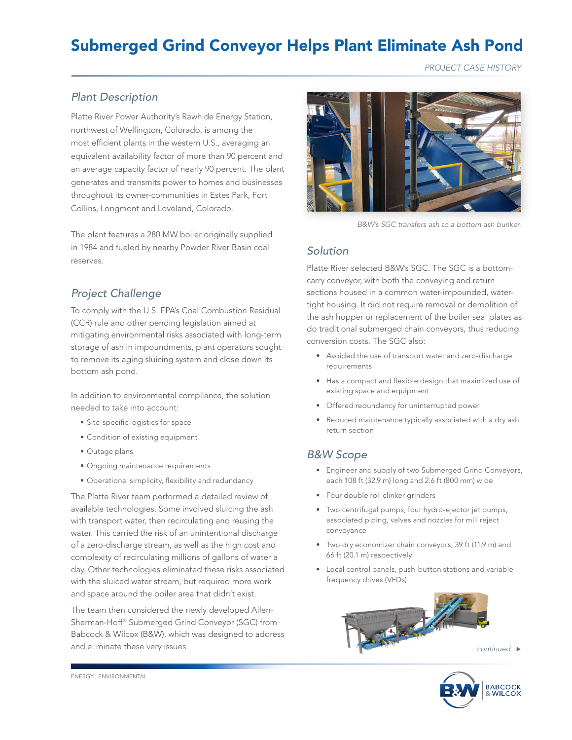# Submerged Grind Conveyor Helps Plant Eliminate Ash Pond

*PROJECT CASE HISTORY*

### *Plant Description*

Platte River Power Authority's Rawhide Energy Station, northwest of Wellington, Colorado, is among the most efficient plants in the western U.S., averaging an equivalent availability factor of more than 90 percent and an average capacity factor of nearly 90 percent. The plant generates and transmits power to homes and businesses throughout its owner-communities in Estes Park, Fort Collins, Longmont and Loveland, Colorado.

The plant features a 280 MW boiler originally supplied in 1984 and fueled by nearby Powder River Basin coal reserves.

# *Project Challenge*

To comply with the U.S. EPA's Coal Combustion Residual (CCR) rule and other pending legislation aimed at mitigating environmental risks associated with long-term storage of ash in impoundments, plant operators sought to remove its aging sluicing system and close down its bottom ash pond.

In addition to environmental compliance, the solution needed to take into account:

- Site-specific logistics for space
- Condition of existing equipment
- Outage plans
- Ongoing maintenance requirements
- Operational simplicity, flexibility and redundancy

The Platte River team performed a detailed review of available technologies. Some involved sluicing the ash with transport water, then recirculating and reusing the water. This carried the risk of an unintentional discharge of a zero-discharge stream, as well as the high cost and complexity of recirculating millions of gallons of water a day. Other technologies eliminated these risks associated with the sluiced water stream, but required more work and space around the boiler area that didn't exist.

The team then considered the newly developed Allen-Sherman-Hoff® Submerged Grind Conveyor (SGC) from Babcock & Wilcox (B&W), which was designed to address and eliminate these very issues.



*B&W's SGC transfers ash to a bottom ash bunker.*

#### *Solution*

Platte River selected B&W's SGC. The SGC is a bottomcarry conveyor, with both the conveying and return sections housed in a common water-impounded, watertight housing. It did not require removal or demolition of the ash hopper or replacement of the boiler seal plates as do traditional submerged chain conveyors, thus reducing conversion costs. The SGC also:

- Avoided the use of transport water and zero-discharge requirements
- Has a compact and flexible design that maximized use of existing space and equipment
- Offered redundancy for uninterrupted power
- Reduced maintenance typically associated with a dry ash return section

#### *B&W Scope*

- Engineer and supply of two Submerged Grind Conveyors, each 108 ft (32.9 m) long and 2.6 ft (800 mm) wide
- Four double roll clinker grinders
- Two centrifugal pumps, four hydro-ejector jet pumps, associated piping, valves and nozzles for mill reject conveyance
- Two dry economizer chain conveyors, 39 ft (11.9 m) and 66 ft (20.1 m) respectively
- Local control panels, push-button stations and variable frequency drives (VFDs)



ENERGY | ENVIRONMENTAL